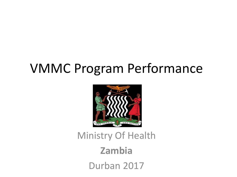#### VMMC Program Performance



#### Ministry Of Health **Zambia** Durban 2017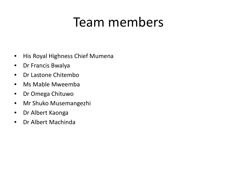## Team members

- His Royal Highness Chief Mumena
- Dr Francis Bwalya
- Dr Lastone Chitembo
- Ms Mable Mweemba
- Dr Omega Chituwo
- Mr Shuko Musemangezhi
- Dr Albert Kaonga
- Dr Albert Machinda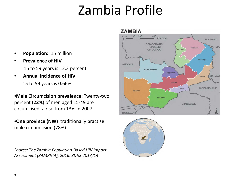# Zambia Profile

- **Population:** 15 million
- **Prevalence of HIV**  15 to 59 years is 12.3 percent
- **Annual incidence of HIV**  15 to 59 years is 0.66%

•**Male Circumcision prevalence:** Twenty-two percent (**22%**) of men aged 15-49 are circumcised, a rise from 13% in 2007

•**One province (NW)** traditionally practise male circumcision (78%)

*Source: The Zambia Population-Based HIV Impact Assessment (ZAMPHIA), 2016; ZDHS 2013/14*



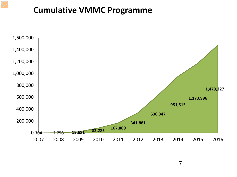#### **Cumulative VMMC Programme**

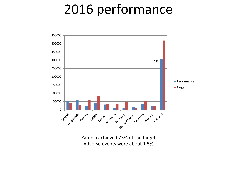## 2016 performance

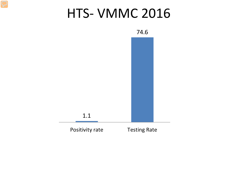#### HTS- VMMC 2016

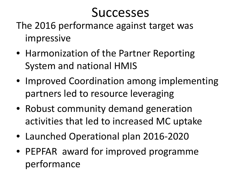## **Successes**

The 2016 performance against target was impressive

- Harmonization of the Partner Reporting System and national HMIS
- Improved Coordination among implementing partners led to resource leveraging
- Robust community demand generation activities that led to increased MC uptake
- Launched Operational plan 2016-2020
- PEPFAR award for improved programme performance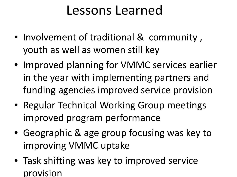#### Lessons Learned

- Involvement of traditional & community , youth as well as women still key
- Improved planning for VMMC services earlier in the year with implementing partners and funding agencies improved service provision
- Regular Technical Working Group meetings improved program performance
- Geographic & age group focusing was key to improving VMMC uptake
- Task shifting was key to improved service provision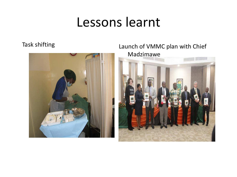#### Lessons learnt



Task shifting Launch of VMMC plan with Chief Madzimawe

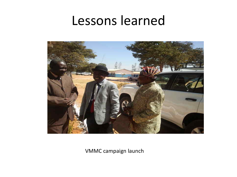#### Lessons learned



VMMC campaign launch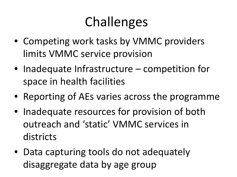# Challenges

- Competing work tasks by VMMC providers limits VMMC service provision
- Inadequate Infrastructure competition for space in health facilities
- Reporting of AEs varies across the programme
- Inadequate resources for provision of both outreach and 'static' VMMC services in districts
- Data capturing tools do not adequately disaggregate data by age group